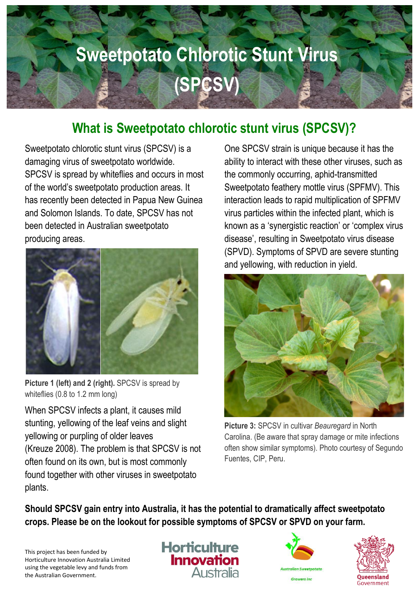# **Sweetpotato Chlorotic Stunt Virus Sweetpotato Chlorotic Stunt Virus (SPCSV) (SPCSV)**

### **What is Sweetpotato chlorotic stunt virus (SPCSV)?**

Sweetpotato chlorotic stunt virus (SPCSV) is a damaging virus of sweetpotato worldwide. SPCSV is spread by whiteflies and occurs in most of the world's sweetpotato production areas. It has recently been detected in Papua New Guinea and Solomon Islands. To date, SPCSV has not been detected in Australian sweetpotato producing areas.



**Picture 1 (left) and 2 (right).** SPCSV is spread by whiteflies (0.8 to 1.2 mm long)

When SPCSV infects a plant, it causes mild stunting, yellowing of the leaf veins and slight yellowing or purpling of older leaves (Kreuze 2008). The problem is that SPCSV is not often found on its own, but is most commonly found together with other viruses in sweetpotato plants.

One SPCSV strain is unique because it has the ability to interact with these other viruses, such as the commonly occurring, aphid-transmitted Sweetpotato feathery mottle virus (SPFMV). This interaction leads to rapid multiplication of SPFMV virus particles within the infected plant, which is known as a 'synergistic reaction' or 'complex virus disease', resulting in Sweetpotato virus disease (SPVD). Symptoms of SPVD are severe stunting and yellowing, with reduction in yield.



**Picture 3:** SPCSV in cultivar *Beauregard* in North Carolina. (Be aware that spray damage or mite infections often show similar symptoms). Photo courtesy of Segundo Fuentes, CIP, Peru.

**Should SPCSV gain entry into Australia, it has the potential to dramatically affect sweetpotato crops. Please be on the lookout for possible symptoms of SPCSV or SPVD on your farm.**

This project has been funded by Horticulture Innovation Australia Limited using the vegetable levy and funds from the Australian Government.